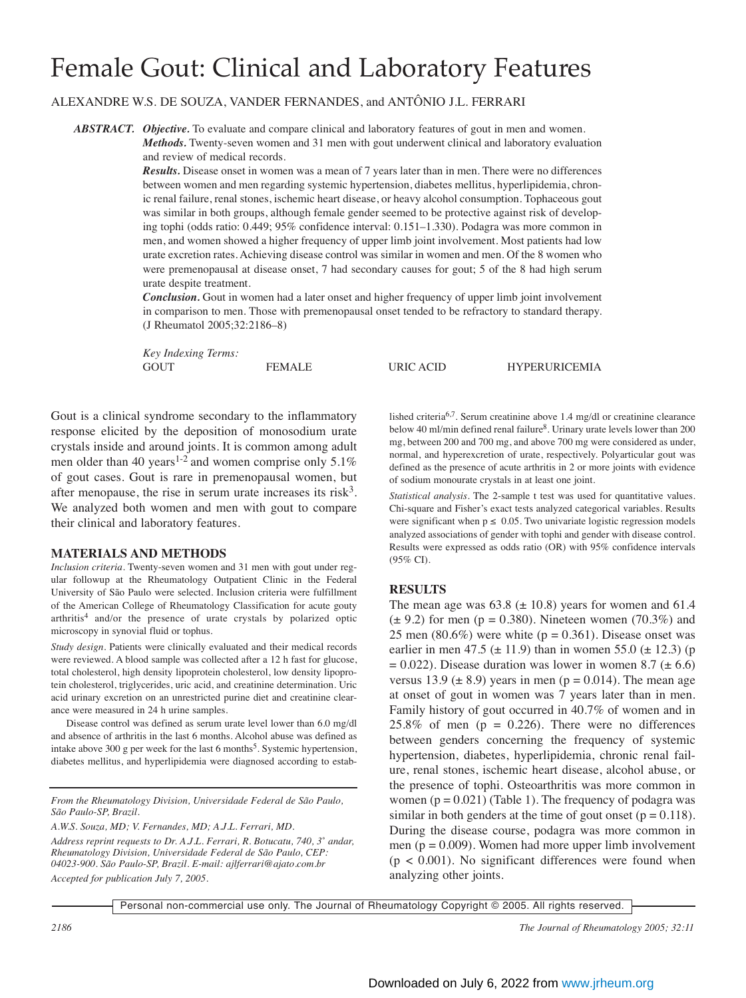# Female Gout: Clinical and Laboratory Features

ALEXANDRE W.S. DE SOUZA, VANDER FERNANDES, and ANTÔNIO J.L. FERRARI

*ABSTRACT. Objective.* To evaluate and compare clinical and laboratory features of gout in men and women. *Methods.* Twenty-seven women and 31 men with gout underwent clinical and laboratory evaluation and review of medical records.

> *Results.* Disease onset in women was a mean of 7 years later than in men. There were no differences between women and men regarding systemic hypertension, diabetes mellitus, hyperlipidemia, chronic renal failure, renal stones, ischemic heart disease, or heavy alcohol consumption. Tophaceous gout was similar in both groups, although female gender seemed to be protective against risk of developing tophi (odds ratio: 0.449; 95% confidence interval: 0.151–1.330). Podagra was more common in men, and women showed a higher frequency of upper limb joint involvement. Most patients had low urate excretion rates. Achieving disease control was similar in women and men. Of the 8 women who were premenopausal at disease onset, 7 had secondary causes for gout; 5 of the 8 had high serum urate despite treatment.

> *Conclusion.* Gout in women had a later onset and higher frequency of upper limb joint involvement in comparison to men. Those with premenopausal onset tended to be refractory to standard therapy. (J Rheumatol 2005;32:2186–8)

> *Key Indexing Terms:* GOUT **FEMALE** URIC ACID HYPERURICEMIA

Gout is a clinical syndrome secondary to the inflammatory response elicited by the deposition of monosodium urate crystals inside and around joints. It is common among adult men older than 40 years<sup>1-2</sup> and women comprise only 5.1% of gout cases. Gout is rare in premenopausal women, but after menopause, the rise in serum urate increases its risk<sup>3</sup>. We analyzed both women and men with gout to compare their clinical and laboratory features.

### **MATERIALS AND METHODS**

*Inclusion criteria.* Twenty-seven women and 31 men with gout under regular followup at the Rheumatology Outpatient Clinic in the Federal University of São Paulo were selected. Inclusion criteria were fulfillment of the American College of Rheumatology Classification for acute gouty arthritis<sup>4</sup> and/or the presence of urate crystals by polarized optic microscopy in synovial fluid or tophus.

*Study design.* Patients were clinically evaluated and their medical records were reviewed. A blood sample was collected after a 12 h fast for glucose, total cholesterol, high density lipoprotein cholesterol, low density lipoprotein cholesterol, triglycerides, uric acid, and creatinine determination. Uric acid urinary excretion on an unrestricted purine diet and creatinine clearance were measured in 24 h urine samples.

Disease control was defined as serum urate level lower than 6.0 mg/dl and absence of arthritis in the last 6 months. Alcohol abuse was defined as intake above 300 g per week for the last 6 months<sup>5</sup>. Systemic hypertension, diabetes mellitus, and hyperlipidemia were diagnosed according to estab-

*From the Rheumatology Division, Universidade Federal de São Paulo, São Paulo-SP, Brazil.*

*A.W.S. Souza, MD; V. Fernandes, MD; A.J.L. Ferrari, MD.*

*Address reprint requests to Dr. A.J.L. Ferrari, R. Botucatu, 740, 3˚ andar, Rheumatology Division, Universidade Federal de São Paulo, CEP: 04023-900. São Paulo-SP, Brazil. E-mail: ajlferrari@ajato.com.br Accepted for publication July 7, 2005.*

lished criteria<sup>6,7</sup>. Serum creatinine above 1.4 mg/dl or creatinine clearance below 40 ml/min defined renal failure<sup>8</sup>. Urinary urate levels lower than 200 mg, between 200 and 700 mg, and above 700 mg were considered as under, normal, and hyperexcretion of urate, respectively. Polyarticular gout was defined as the presence of acute arthritis in 2 or more joints with evidence of sodium monourate crystals in at least one joint.

*Statistical analysis.* The 2-sample t test was used for quantitative values. Chi-square and Fisher's exact tests analyzed categorical variables. Results were significant when  $p \leq 0.05$ . Two univariate logistic regression models analyzed associations of gender with tophi and gender with disease control. Results were expressed as odds ratio (OR) with 95% confidence intervals (95% CI).

## **RESULTS**

The mean age was  $63.8 \ (\pm 10.8)$  years for women and  $61.4$  $(\pm 9.2)$  for men (p = 0.380). Nineteen women (70.3%) and 25 men (80.6%) were white ( $p = 0.361$ ). Disease onset was earlier in men 47.5 ( $\pm$  11.9) than in women 55.0 ( $\pm$  12.3) (p  $= 0.022$ ). Disease duration was lower in women 8.7 ( $\pm$  6.6) versus 13.9 ( $\pm$  8.9) years in men ( $p = 0.014$ ). The mean age at onset of gout in women was 7 years later than in men. Family history of gout occurred in 40.7% of women and in 25.8% of men  $(p = 0.226)$ . There were no differences between genders concerning the frequency of systemic hypertension, diabetes, hyperlipidemia, chronic renal failure, renal stones, ischemic heart disease, alcohol abuse, or the presence of tophi. Osteoarthritis was more common in women  $(p = 0.021)$  (Table 1). The frequency of podagra was similar in both genders at the time of gout onset  $(p = 0.118)$ . During the disease course, podagra was more common in men ( $p = 0.009$ ). Women had more upper limb involvement  $(p < 0.001)$ . No significant differences were found when analyzing other joints.

Personal non-commercial use only. The Journal of Rheumatology Copyright © 2005. All rights reserved.

*2186 The Journal of Rheumatology 2005; 32:11*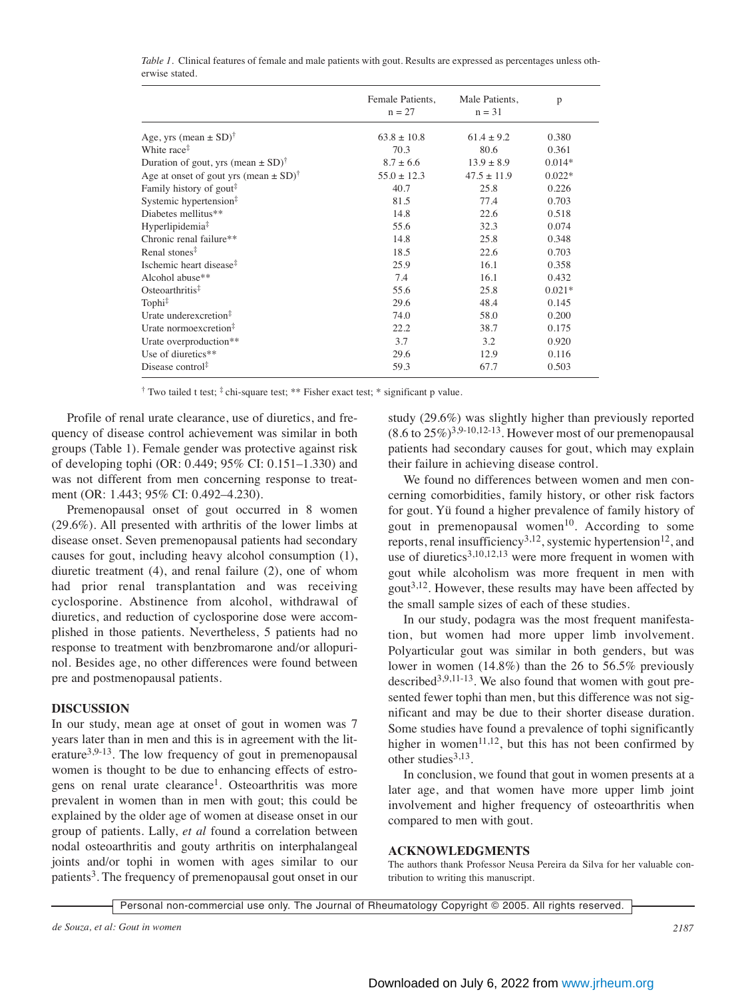|                                                                        | Female Patients,<br>$n = 27$ | Male Patients,<br>$n = 31$ | p        |
|------------------------------------------------------------------------|------------------------------|----------------------------|----------|
| Age, yrs (mean $\pm$ SD) <sup>†</sup>                                  | $63.8 \pm 10.8$              | $61.4 \pm 9.2$             | 0.380    |
| White race <sup><math>\ddagger</math></sup>                            | 70.3                         | 80.6                       | 0.361    |
| Duration of gout, yrs (mean $\pm$ SD) <sup><math>\uparrow</math></sup> | $8.7 \pm 6.6$                | $13.9 \pm 8.9$             | $0.014*$ |
| Age at onset of gout yrs (mean $\pm$ SD) <sup>†</sup>                  | $55.0 \pm 12.3$              | $47.5 \pm 11.9$            | $0.022*$ |
| Family history of gout <sup>#</sup>                                    | 40.7                         | 25.8                       | 0.226    |
| Systemic hypertension <sup>‡</sup>                                     | 81.5                         | 77.4                       | 0.703    |
| Diabetes mellitus**                                                    | 14.8                         | 22.6                       | 0.518    |
| Hyperlipidemia <sup>‡</sup>                                            | 55.6                         | 32.3                       | 0.074    |
| Chronic renal failure**                                                | 14.8                         | 25.8                       | 0.348    |
| Renal stones <sup>‡</sup>                                              | 18.5                         | 22.6                       | 0.703    |
| Ischemic heart disease <sup>‡</sup>                                    | 25.9                         | 16.1                       | 0.358    |
| Alcohol abuse**                                                        | 7.4                          | 16.1                       | 0.432    |
| Osteoarthritis $\frac{1}{3}$                                           | 55.6                         | 25.8                       | $0.021*$ |
| Tophi <sup>‡</sup>                                                     | 29.6                         | 48.4                       | 0.145    |
| Urate underexcretion <sup>‡</sup>                                      | 74.0                         | 58.0                       | 0.200    |
| Urate normoexcretion <sup>#</sup>                                      | 22.2                         | 38.7                       | 0.175    |
| Urate overproduction**                                                 | 3.7                          | 3.2                        | 0.920    |
| Use of diuretics**                                                     | 29.6                         | 12.9                       | 0.116    |
| Disease control $\ddagger$                                             | 59.3                         | 67.7                       | 0.503    |

*Table 1.* Clinical features of female and male patients with gout. Results are expressed as percentages unless otherwise stated.

† Two tailed t test; ‡ chi-square test; \*\* Fisher exact test; \* significant p value.

Profile of renal urate clearance, use of diuretics, and frequency of disease control achievement was similar in both groups (Table 1). Female gender was protective against risk of developing tophi (OR: 0.449; 95% CI: 0.151–1.330) and was not different from men concerning response to treatment (OR: 1.443; 95% CI: 0.492–4.230).

Premenopausal onset of gout occurred in 8 women (29.6%). All presented with arthritis of the lower limbs at disease onset. Seven premenopausal patients had secondary causes for gout, including heavy alcohol consumption (1), diuretic treatment (4), and renal failure (2), one of whom had prior renal transplantation and was receiving cyclosporine. Abstinence from alcohol, withdrawal of diuretics, and reduction of cyclosporine dose were accomplished in those patients. Nevertheless, 5 patients had no response to treatment with benzbromarone and/or allopurinol. Besides age, no other differences were found between pre and postmenopausal patients.

#### **DISCUSSION**

In our study, mean age at onset of gout in women was 7 years later than in men and this is in agreement with the literature<sup>3,9-13</sup>. The low frequency of gout in premenopausal women is thought to be due to enhancing effects of estrogens on renal urate clearance<sup>1</sup>. Osteoarthritis was more prevalent in women than in men with gout; this could be explained by the older age of women at disease onset in our group of patients. Lally, *et al* found a correlation between nodal osteoarthritis and gouty arthritis on interphalangeal joints and/or tophi in women with ages similar to our patients<sup>3</sup>. The frequency of premenopausal gout onset in our study (29.6%) was slightly higher than previously reported  $(8.6 \text{ to } 25\%)^{3,9-10,12-13}$ . However most of our premenopausal patients had secondary causes for gout, which may explain their failure in achieving disease control.

We found no differences between women and men concerning comorbidities, family history, or other risk factors for gout. Yü found a higher prevalence of family history of gout in premenopausal women<sup>10</sup>. According to some reports, renal insufficiency<sup>3,12</sup>, systemic hypertension<sup>12</sup>, and use of diuretics<sup>3,10,12,13</sup> were more frequent in women with gout while alcoholism was more frequent in men with gout<sup>3,12</sup>. However, these results may have been affected by the small sample sizes of each of these studies.

In our study, podagra was the most frequent manifestation, but women had more upper limb involvement. Polyarticular gout was similar in both genders, but was lower in women (14.8%) than the 26 to 56.5% previously described $3,9,11-13$ . We also found that women with gout presented fewer tophi than men, but this difference was not significant and may be due to their shorter disease duration. Some studies have found a prevalence of tophi significantly higher in women $^{11,12}$ , but this has not been confirmed by other studies $3,13$ .

In conclusion, we found that gout in women presents at a later age, and that women have more upper limb joint involvement and higher frequency of osteoarthritis when compared to men with gout.

#### **ACKNOWLEDGMENTS**

The authors thank Professor Neusa Pereira da Silva for her valuable contribution to writing this manuscript.

Personal non-commercial use only. The Journal of Rheumatology Copyright © 2005. All rights reserved.